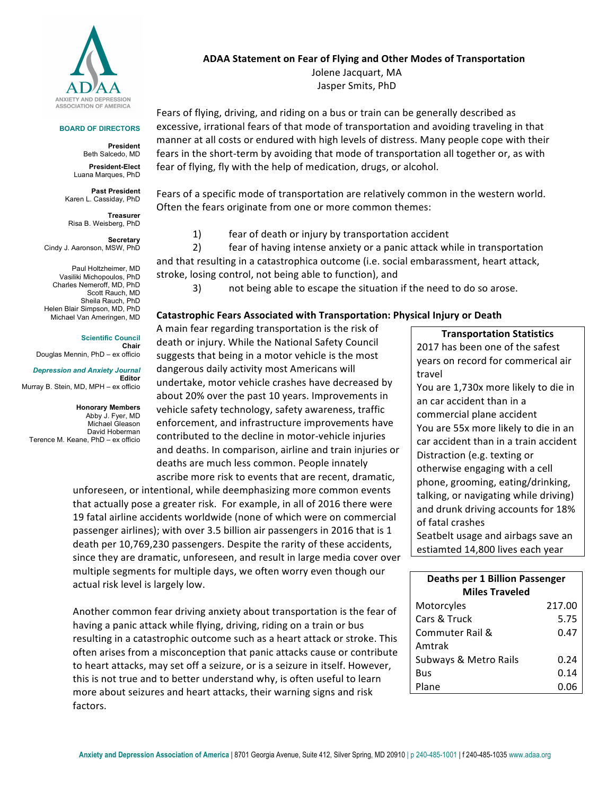

#### **BOARD OF DIRECTORS**

**President** Beth Salcedo, MD

**President-Elect** Luana Marques, PhD

**Past President** Karen L. Cassiday, PhD

**Treasurer** Risa B. Weisberg, PhD

**Secretary**  Cindy J. Aaronson, MSW, PhD

Paul Holtzheimer, MD Vasiliki Michopoulos, PhD Charles Nemeroff, MD, PhD Scott Rauch, MD Sheila Rauch, PhD Helen Blair Simpson, MD, PhD Michael Van Ameringen, MD

> **Scientific Council Chair**

Douglas Mennin, PhD – ex officio

*Depression and Anxiety Journal* **Editor** Murray B. Stein, MD, MPH – ex officio

**Honorary Members** Abby J. Fyer, MD Michael Gleason David Hoberman Terence M. Keane, PhD – ex officio

### **ADAA Statement on Fear of Flying and Other Modes of Transportation**

Jolene Jacquart, MA Jasper Smits, PhD

Fears of flying, driving, and riding on a bus or train can be generally described as excessive, irrational fears of that mode of transportation and avoiding traveling in that manner at all costs or endured with high levels of distress. Many people cope with their fears in the short-term by avoiding that mode of transportation all together or, as with fear of flying, fly with the help of medication, drugs, or alcohol.

Fears of a specific mode of transportation are relatively common in the western world. Often the fears originate from one or more common themes:

1) fear of death or injury by transportation accident

2) fear of having intense anxiety or a panic attack while in transportation and that resulting in a catastrophica outcome (i.e. social embarassment, heart attack, stroke, losing control, not being able to function), and

3) not being able to escape the situation if the need to do so arose.

#### **Catastrophic Fears Associated with Transportation: Physical Injury or Death**

A main fear regarding transportation is the risk of death or injury. While the National Safety Council suggests that being in a motor vehicle is the most dangerous daily activity most Americans will undertake, motor vehicle crashes have decreased by about 20% over the past 10 years. Improvements in vehicle safety technology, safety awareness, traffic enforcement, and infrastructure improvements have contributed to the decline in motor-vehicle injuries and deaths. In comparison, airline and train injuries or deaths are much less common. People innately ascribe more risk to events that are recent, dramatic,

unforeseen, or intentional, while deemphasizing more common events that actually pose a greater risk. For example, in all of 2016 there were 19 fatal airline accidents worldwide (none of which were on commercial passenger airlines); with over 3.5 billion air passengers in 2016 that is 1 death per 10,769,230 passengers. Despite the rarity of these accidents, since they are dramatic, unforeseen, and result in large media cover over multiple segments for multiple days, we often worry even though our actual risk level is largely low.

Another common fear driving anxiety about transportation is the fear of having a panic attack while flying, driving, riding on a train or bus resulting in a catastrophic outcome such as a heart attack or stroke. This often arises from a misconception that panic attacks cause or contribute to heart attacks, may set off a seizure, or is a seizure in itself. However, this is not true and to better understand why, is often useful to learn more about seizures and heart attacks, their warning signs and risk factors. 

**Transportation Statistics** 2017 has been one of the safest years on record for commerical air travel You are 1,730x more likely to die in an car accident than in a commercial plane accident You are 55x more likely to die in an car accident than in a train accident Distraction (e.g. texting or otherwise engaging with a cell phone, grooming, eating/drinking, talking, or navigating while driving) and drunk driving accounts for 18% of fatal crashes Seatbelt usage and airbags save an estiamted 14,800 lives each year

| <b>Deaths per 1 Billion Passenger</b> |        |
|---------------------------------------|--------|
| <b>Miles Traveled</b>                 |        |
| Motorcyles                            | 217.00 |
| Cars & Truck                          | 5.75   |
| Commuter Rail &                       | 0.47   |
| Amtrak                                |        |
| Subways & Metro Rails                 | 0.24   |
| Bus                                   | 0.14   |
| Plane                                 | 0.06   |